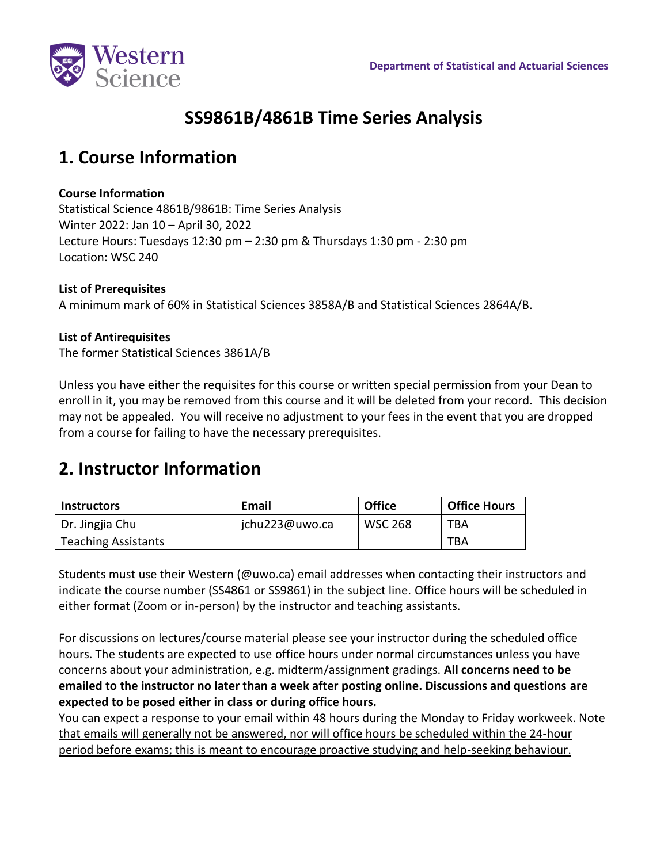

# **SS9861B/4861B Time Series Analysis**

# **1. Course Information**

#### **Course Information**

Statistical Science 4861B/9861B: Time Series Analysis Winter 2022: Jan 10 – April 30, 2022 Lecture Hours: Tuesdays 12:30 pm – 2:30 pm & Thursdays 1:30 pm - 2:30 pm Location: WSC 240

#### **List of Prerequisites**

A minimum mark of 60% in [Statistical Sciences 3858A/B](http://westerncalendar.uwo.ca/2009/pg963.html#36574) and [Statistical Sciences 2864A/B.](http://westerncalendar.uwo.ca/2009/pg963.html#36567)

#### **List of Antirequisites**

The former Statistical Sciences 3861A/B

Unless you have either the requisites for this course or written special permission from your Dean to enroll in it, you may be removed from this course and it will be deleted from your record. This decision may not be appealed. You will receive no adjustment to your fees in the event that you are dropped from a course for failing to have the necessary prerequisites.

# **2. Instructor Information**

| <b>Instructors</b>         | Email          | <b>Office</b>  | <b>Office Hours</b> |
|----------------------------|----------------|----------------|---------------------|
| Dr. Jingjia Chu            | jchu223@uwo.ca | <b>WSC 268</b> | TBA                 |
| <b>Teaching Assistants</b> |                |                | TBA                 |

Students must use their Western (@uwo.ca) email addresses when contacting their instructors and indicate the course number (SS4861 or SS9861) in the subject line. Office hours will be scheduled in either format (Zoom or in-person) by the instructor and teaching assistants.

For discussions on lectures/course material please see your instructor during the scheduled office hours. The students are expected to use office hours under normal circumstances unless you have concerns about your administration, e.g. midterm/assignment gradings. **All concerns need to be emailed to the instructor no later than a week after posting online. Discussions and questions are expected to be posed either in class or during office hours.**

You can expect a response to your email within 48 hours during the Monday to Friday workweek. Note that emails will generally not be answered, nor will office hours be scheduled within the 24-hour period before exams; this is meant to encourage proactive studying and help-seeking behaviour.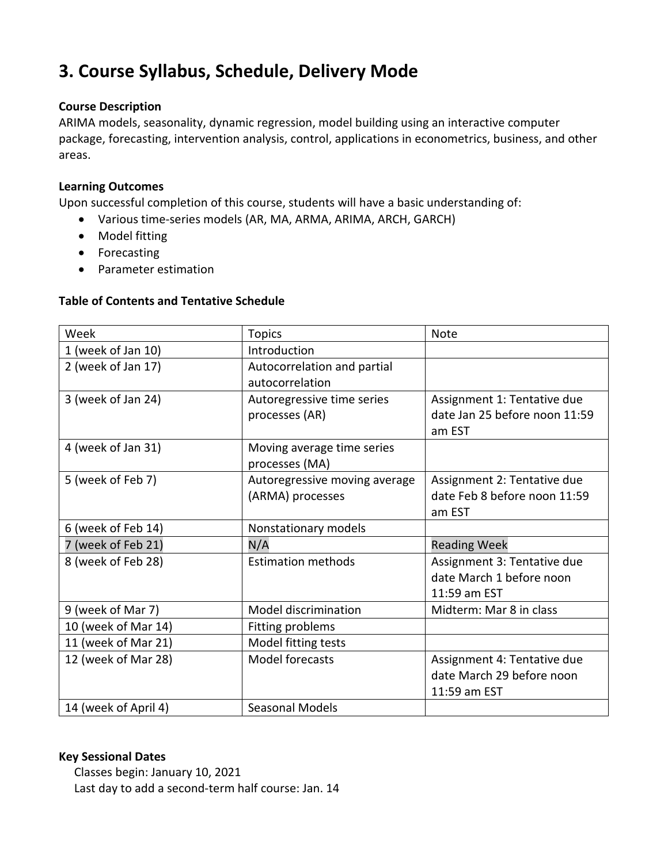# **3. Course Syllabus, Schedule, Delivery Mode**

#### **Course Description**

ARIMA models, seasonality, dynamic regression, model building using an interactive computer package, forecasting, intervention analysis, control, applications in econometrics, business, and other areas.

#### **Learning Outcomes**

Upon successful completion of this course, students will have a basic understanding of:

- Various time-series models (AR, MA, ARMA, ARIMA, ARCH, GARCH)
- Model fitting
- Forecasting
- Parameter estimation

#### **Table of Contents and Tentative Schedule**

| Week                | <b>Topics</b>                 | <b>Note</b>                   |
|---------------------|-------------------------------|-------------------------------|
| 1 (week of Jan 10)  | Introduction                  |                               |
| 2 (week of Jan 17)  | Autocorrelation and partial   |                               |
|                     | autocorrelation               |                               |
| 3 (week of Jan 24)  | Autoregressive time series    | Assignment 1: Tentative due   |
|                     | processes (AR)                | date Jan 25 before noon 11:59 |
|                     |                               | am EST                        |
| 4 (week of Jan 31)  | Moving average time series    |                               |
|                     | processes (MA)                |                               |
| 5 (week of Feb 7)   | Autoregressive moving average | Assignment 2: Tentative due   |
|                     | (ARMA) processes              | date Feb 8 before noon 11:59  |
|                     |                               | am EST                        |
|                     |                               |                               |
| 6 (week of Feb 14)  | Nonstationary models          |                               |
| 7 (week of Feb 21)  | N/A                           | <b>Reading Week</b>           |
| 8 (week of Feb 28)  | <b>Estimation methods</b>     | Assignment 3: Tentative due   |
|                     |                               | date March 1 before noon      |
|                     |                               | 11:59 am EST                  |
| 9 (week of Mar 7)   | Model discrimination          | Midterm: Mar 8 in class       |
| 10 (week of Mar 14) | Fitting problems              |                               |
| 11 (week of Mar 21) | Model fitting tests           |                               |
| 12 (week of Mar 28) | Model forecasts               | Assignment 4: Tentative due   |
|                     |                               | date March 29 before noon     |
|                     |                               | 11:59 am EST                  |

#### **Key Sessional Dates**

Classes begin: January 10, 2021 Last day to add a second-term half course: Jan. 14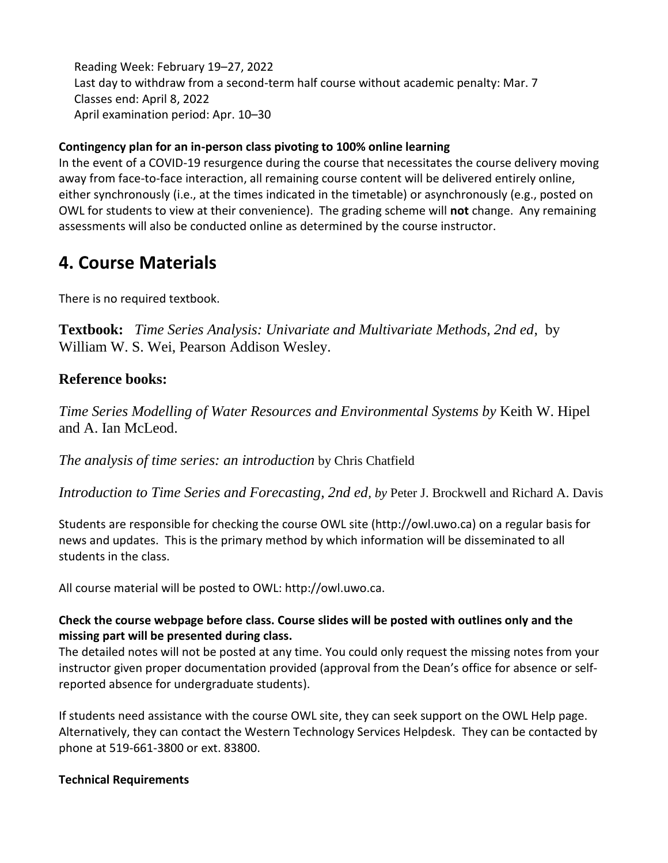Reading Week: February 19–27, 2022 Last day to withdraw from a second-term half course without academic penalty: Mar. 7 Classes end: April 8, 2022 April examination period: Apr. 10–30

## **Contingency plan for an in-person class pivoting to 100% online learning**

In the event of a COVID-19 resurgence during the course that necessitates the course delivery moving away from face-to-face interaction, all remaining course content will be delivered entirely online, either synchronously (i.e., at the times indicated in the timetable) or asynchronously (e.g., posted on OWL for students to view at their convenience). The grading scheme will **not** change. Any remaining assessments will also be conducted online as determined by the course instructor.

## **4. Course Materials**

There is no required textbook.

**Textbook:** *Time Series Analysis: Univariate and Multivariate Methods, 2nd ed*, by William W. S. Wei, Pearson Addison Wesley.

## **Reference books:**

*Time Series Modelling of Water Resources and Environmental Systems by* Keith W. Hipel and A. Ian McLeod.

*The analysis of time series: an introduction* by Chris Chatfield

*Introduction to Time Series and Forecasting, 2nd ed, by* Peter J. Brockwell and Richard A. Davis

Students are responsible for checking the course OWL site (http://owl.uwo.ca) on a regular basis for news and updates. This is the primary method by which information will be disseminated to all students in the class.

All course material will be posted to OWL: http://owl.uwo.ca.

## **Check the course webpage before class. Course slides will be posted with outlines only and the missing part will be presented during class.**

The detailed notes will not be posted at any time. You could only request the missing notes from your instructor given proper documentation provided (approval from the Dean's office for absence or selfreported absence for undergraduate students).

If students need assistance with the course OWL site, they can seek support on the OWL Help page. Alternatively, they can contact the Western Technology Services Helpdesk. They can be contacted by phone at 519-661-3800 or ext. 83800.

## **Technical Requirements**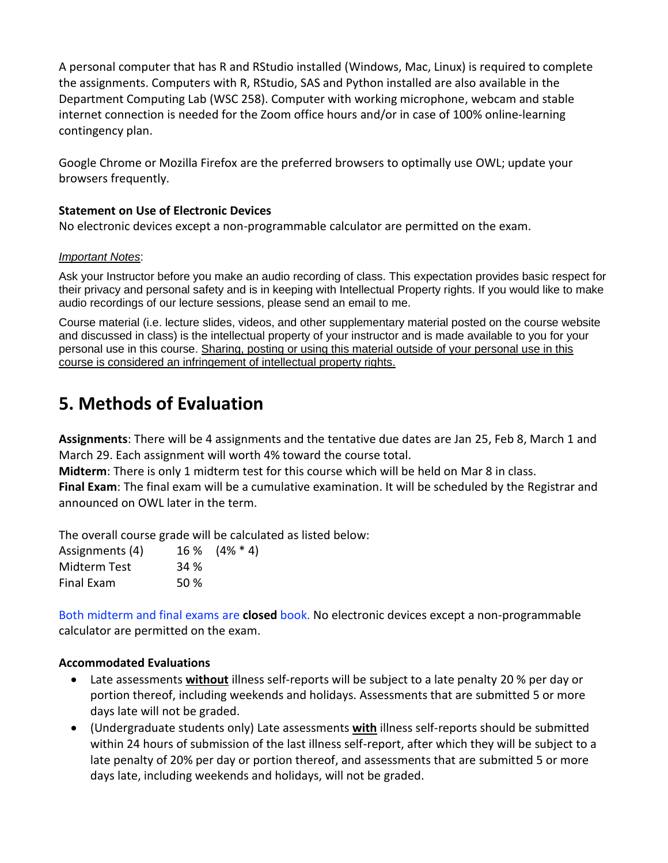A personal computer that has R and RStudio installed (Windows, Mac, Linux) is required to complete the assignments. Computers with R, RStudio, SAS and Python installed are also available in the Department Computing Lab (WSC 258). Computer with working microphone, webcam and stable internet connection is needed for the Zoom office hours and/or in case of 100% online-learning contingency plan.

Google Chrome or Mozilla Firefox are the preferred browsers to optimally use OWL; update your browsers frequently.

#### **Statement on Use of Electronic Devices**

No electronic devices except a non-programmable calculator are permitted on the exam.

#### *Important Notes*:

Ask your Instructor before you make an audio recording of class. This expectation provides basic respect for their privacy and personal safety and is in keeping with Intellectual Property rights. If you would like to make audio recordings of our lecture sessions, please send an email to me.

Course material (i.e. lecture slides, videos, and other supplementary material posted on the course website and discussed in class) is the intellectual property of your instructor and is made available to you for your personal use in this course. Sharing, posting or using this material outside of your personal use in this course is considered an infringement of intellectual property rights.

## **5. Methods of Evaluation**

**Assignments**: There will be 4 assignments and the tentative due dates are Jan 25, Feb 8, March 1 and March 29. Each assignment will worth 4% toward the course total.

**Midterm**: There is only 1 midterm test for this course which will be held on Mar 8 in class.

**Final Exam**: The final exam will be a cumulative examination. It will be scheduled by the Registrar and announced on OWL later in the term.

The overall course grade will be calculated as listed below:

| Assignments (4) |             | $16\%$ $(4\% * 4)$ |
|-----------------|-------------|--------------------|
| Midterm Test    | <b>34 %</b> |                    |
| Final Exam      | 50 %        |                    |

Both midterm and final exams are **closed** book. No electronic devices except a non-programmable calculator are permitted on the exam.

#### **Accommodated Evaluations**

- Late assessments **without** illness self-reports will be subject to a late penalty 20 % per day or portion thereof, including weekends and holidays. Assessments that are submitted 5 or more days late will not be graded.
- (Undergraduate students only) Late assessments **with** illness self-reports should be submitted within 24 hours of submission of the last illness self-report, after which they will be subject to a late penalty of 20% per day or portion thereof, and assessments that are submitted 5 or more days late, including weekends and holidays, will not be graded.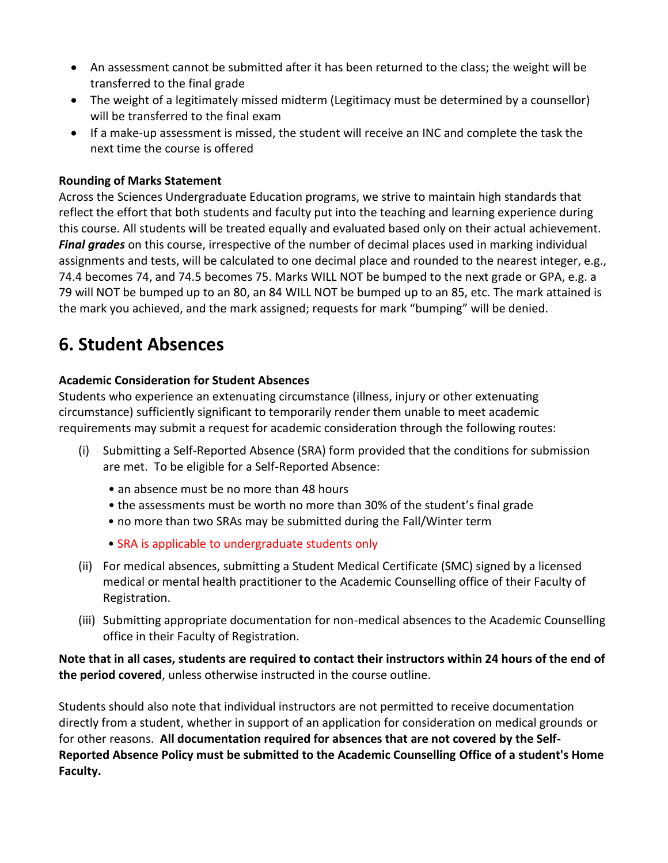- An assessment cannot be submitted after it has been returned to the class; the weight will be transferred to the final grade
- The weight of a legitimately missed midterm (Legitimacy must be determined by a counsellor) will be transferred to the final exam
- If a make-up assessment is missed, the student will receive an INC and complete the task the next time the course is offered

### **Rounding of Marks Statement**

Across the Sciences Undergraduate Education programs, we strive to maintain high standards that reflect the effort that both students and faculty put into the teaching and learning experience during this course. All students will be treated equally and evaluated based only on their actual achievement. *Final grades* on this course, irrespective of the number of decimal places used in marking individual assignments and tests, will be calculated to one decimal place and rounded to the nearest integer, e.g., 74.4 becomes 74, and 74.5 becomes 75. Marks WILL NOT be bumped to the next grade or GPA, e.g. a 79 will NOT be bumped up to an 80, an 84 WILL NOT be bumped up to an 85, etc. The mark attained is the mark you achieved, and the mark assigned; requests for mark "bumping" will be denied.

## **6. Student Absences**

## **Academic Consideration for Student Absences**

Students who experience an extenuating circumstance (illness, injury or other extenuating circumstance) sufficiently significant to temporarily render them unable to meet academic requirements may submit a request for academic consideration through the following routes:

- (i) Submitting a Self-Reported Absence (SRA) form provided that the conditions for submission are met. To be eligible for a Self-Reported Absence:
	- an absence must be no more than 48 hours
	- the assessments must be worth no more than 30% of the student's final grade
	- no more than two SRAs may be submitted during the Fall/Winter term
	- SRA is applicable to undergraduate students only
- (ii) For medical absences, submitting a Student Medical Certificate (SMC) signed by a licensed medical or mental health practitioner to the Academic Counselling office of their Faculty of Registration.
- (iii) Submitting appropriate documentation for non-medical absences to the Academic Counselling office in their Faculty of Registration.

**Note that in all cases, students are required to contact their instructors within 24 hours of the end of the period covered**, unless otherwise instructed in the course outline.

Students should also note that individual instructors are not permitted to receive documentation directly from a student, whether in support of an application for consideration on medical grounds or for other reasons. **All documentation required for absences that are not covered by the Self-Reported Absence Policy must be submitted to the Academic Counselling Office of a student's Home Faculty.**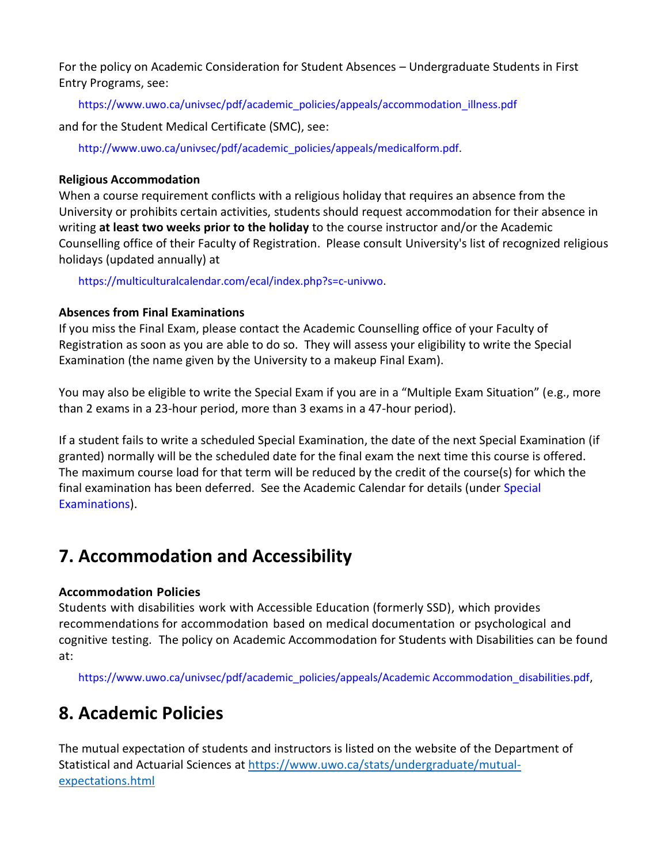For the policy on Academic Consideration for Student Absences – Undergraduate Students in First Entry Programs, see:

https://www.uwo.ca/univsec/pdf/academic\_policies/appeals/accommodation\_illness.pdf

and for the Student Medical Certificate (SMC), see:

http://www.uwo.ca/univsec/pdf/academic\_policies/appeals/medicalform.pdf.

#### **Religious Accommodation**

When a course requirement conflicts with a religious holiday that requires an absence from the University or prohibits certain activities, students should request accommodation for their absence in writing **at least two weeks prior to the holiday** to the course instructor and/or the Academic Counselling office of their Faculty of Registration. Please consult University's list of recognized religious holidays (updated annually) at

https://multiculturalcalendar.com/ecal/index.php?s=c-univwo.

### **Absences from Final Examinations**

If you miss the Final Exam, please contact the Academic Counselling office of your Faculty of Registration as soon as you are able to do so. They will assess your eligibility to write the Special Examination (the name given by the University to a makeup Final Exam).

You may also be eligible to write the Special Exam if you are in a "Multiple Exam Situation" (e.g., more than 2 exams in a 23-hour period, more than 3 exams in a 47-hour period).

If a student fails to write a scheduled Special Examination, the date of the next Special Examination (if granted) normally will be the scheduled date for the final exam the next time this course is offered. The maximum course load for that term will be reduced by the credit of the course(s) for which the final examination has been deferred. See the Academic Calendar for details (under Special Examinations).

# **7. Accommodation and Accessibility**

### **Accommodation Policies**

Students with disabilities work with Accessible Education (formerly SSD), which provides recommendations for accommodation based on medical documentation or psychological and cognitive testing. The policy on Academic Accommodation for Students with Disabilities can be found at:

https://www.uwo.ca/univsec/pdf/academic\_policies/appeals/Academic Accommodation\_disabilities.pdf,

## **8. Academic Policies**

The mutual expectation of students and instructors is listed on the website of the Department of Statistical and Actuarial Sciences at [https://www.uwo.ca/stats/undergraduate/mutual](https://www.uwo.ca/stats/undergraduate/mutual-expectations.html)[expectations.html](https://www.uwo.ca/stats/undergraduate/mutual-expectations.html)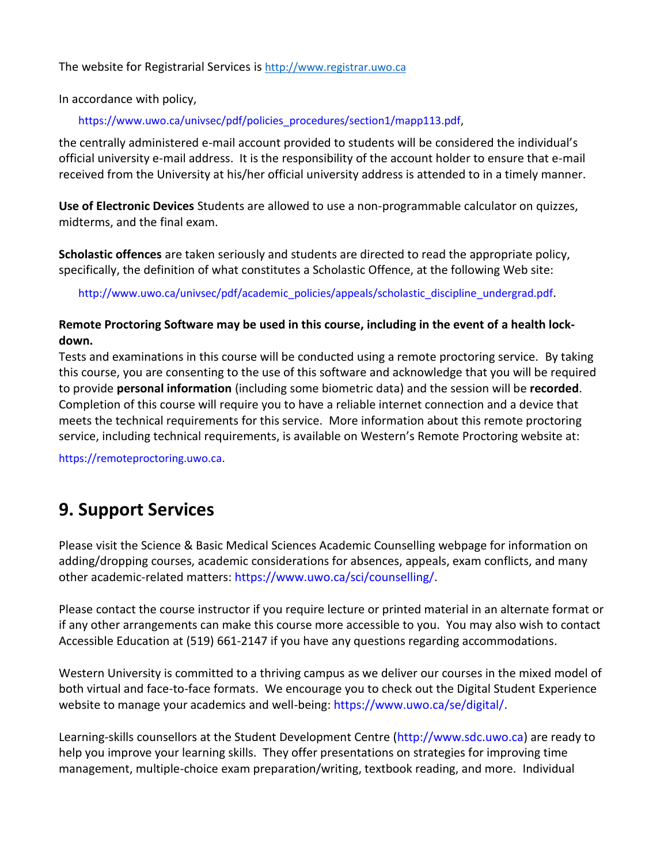The website for Registrarial Services is [http://www.registrar.uwo.ca](http://www.registrar.uwo.ca/)

In accordance with policy,

https://www.uwo.ca/univsec/pdf/policies\_procedures/section1/mapp113.pdf,

the centrally administered e-mail account provided to students will be considered the individual's official university e-mail address. It is the responsibility of the account holder to ensure that e-mail received from the University at his/her official university address is attended to in a timely manner.

**Use of Electronic Devices** Students are allowed to use a non-programmable calculator on quizzes, midterms, and the final exam.

**Scholastic offences** are taken seriously and students are directed to read the appropriate policy, specifically, the definition of what constitutes a Scholastic Offence, at the following Web site:

http://www.uwo.ca/univsec/pdf/academic\_policies/appeals/scholastic\_discipline\_undergrad.pdf.

## **Remote Proctoring Software may be used in this course, including in the event of a health lockdown.**

Tests and examinations in this course will be conducted using a remote proctoring service. By taking this course, you are consenting to the use of this software and acknowledge that you will be required to provide **personal information** (including some biometric data) and the session will be **recorded**. Completion of this course will require you to have a reliable internet connection and a device that meets the technical requirements for this service. More information about this remote proctoring service, including technical requirements, is available on Western's Remote Proctoring website at:

https://remoteproctoring.uwo.ca.

## **9. Support Services**

Please visit the Science & Basic Medical Sciences Academic Counselling webpage for information on adding/dropping courses, academic considerations for absences, appeals, exam conflicts, and many other academic-related matters: https://www.uwo.ca/sci/counselling/.

Please contact the course instructor if you require lecture or printed material in an alternate format or if any other arrangements can make this course more accessible to you. You may also wish to contact Accessible Education at (519) 661-2147 if you have any questions regarding accommodations.

Western University is committed to a thriving campus as we deliver our courses in the mixed model of both virtual and face-to-face formats. We encourage you to check out the Digital Student Experience website to manage your academics and well-being: https://www.uwo.ca/se/digital/.

Learning-skills counsellors at the Student Development Centre (http://www.sdc.uwo.ca) are ready to help you improve your learning skills. They offer presentations on strategies for improving time management, multiple-choice exam preparation/writing, textbook reading, and more. Individual